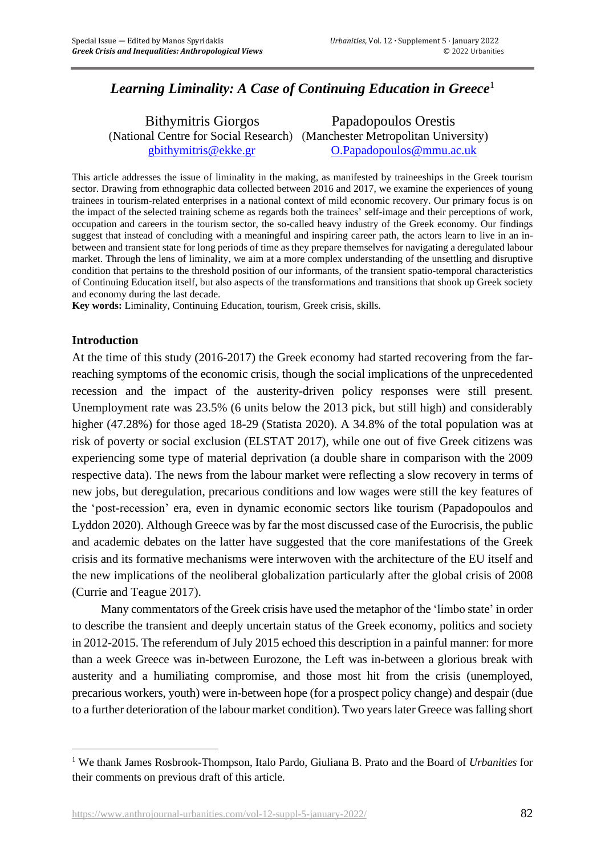# *Learning Liminality: A Case of Continuing Education in Greece*<sup>1</sup>

 Bithymitris Giorgos Papadopoulos Orestis (National Centre for Social Research) (Manchester Metropolitan University) [gbithymitris@ekke.gr](mailto:gbithymitris@ekke.gr) [O.Papadopoulos@mmu.ac.uk](mailto:O.Papadopoulos@mmu.ac.uk)

This article addresses the issue of liminality in the making, as manifested by traineeships in the Greek tourism sector. Drawing from ethnographic data collected between 2016 and 2017, we examine the experiences of young trainees in tourism-related enterprises in a national context of mild economic recovery. Our primary focus is on the impact of the selected training scheme as regards both the trainees' self-image and their perceptions of work, occupation and careers in the tourism sector, the so-called heavy industry of the Greek economy. Our findings suggest that instead of concluding with a meaningful and inspiring career path, the actors learn to live in an inbetween and transient state for long periods of time as they prepare themselves for navigating a deregulated labour market. Through the lens of liminality, we aim at a more complex understanding of the unsettling and disruptive condition that pertains to the threshold position of our informants, of the transient spatio-temporal characteristics of Continuing Education itself, but also aspects of the transformations and transitions that shook up Greek society and economy during the last decade.

**Key words:** Liminality, Continuing Education, tourism, Greek crisis, skills.

#### **Introduction**

At the time of this study (2016-2017) the Greek economy had started recovering from the farreaching symptoms of the economic crisis, though the social implications of the unprecedented recession and the impact of the austerity-driven policy responses were still present. Unemployment rate was 23.5% (6 units below the 2013 pick, but still high) and considerably higher (47.28%) for those aged 18-29 (Statista 2020). A 34.8% of the total population was at risk of poverty or social exclusion (ELSTAT 2017), while one out of five Greek citizens was experiencing some type of material deprivation (a double share in comparison with the 2009 respective data). The news from the labour market were reflecting a slow recovery in terms of new jobs, but deregulation, precarious conditions and low wages were still the key features of the 'post-recession' era, even in dynamic economic sectors like tourism (Papadopoulos and Lyddon 2020). Although Greece was by far the most discussed case of the Eurocrisis, the public and academic debates on the latter have suggested that the core manifestations of the Greek crisis and its formative mechanisms were interwoven with the architecture of the EU itself and the new implications of the neoliberal globalization particularly after the global crisis of 2008 (Currie and Teague 2017).

Many commentators of the Greek crisis have used the metaphor of the 'limbo state' in order to describe the transient and deeply uncertain status of the Greek economy, politics and society in 2012-2015. The referendum of July 2015 echoed this description in a painful manner: for more than a week Greece was in-between Eurozone, the Left was in-between a glorious break with austerity and a humiliating compromise, and those most hit from the crisis (unemployed, precarious workers, youth) were in-between hope (for a prospect policy change) and despair (due to a further deterioration of the labour market condition). Two years later Greece was falling short

<sup>1</sup> We thank James Rosbrook-Thompson, Italo Pardo, Giuliana B. Prato and the Board of *Urbanities* for their comments on previous draft of this article.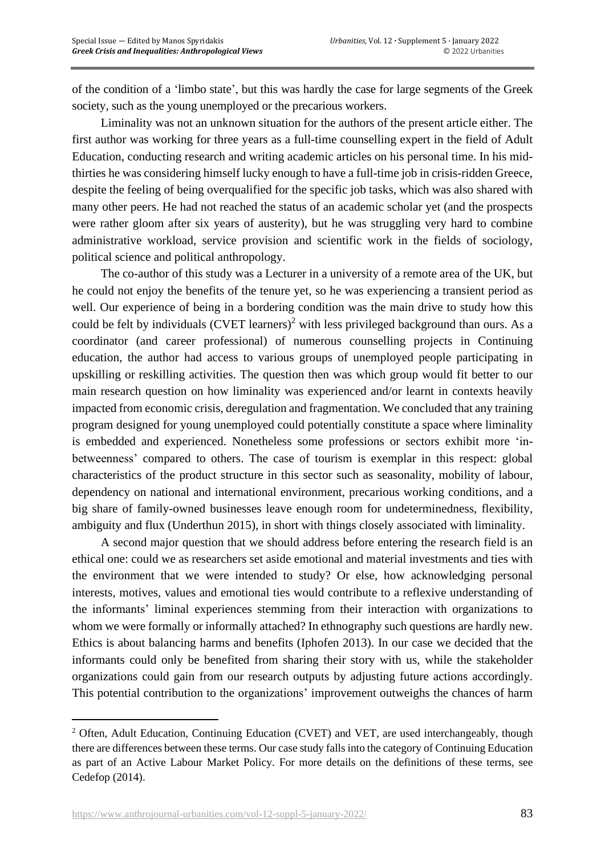of the condition of a 'limbo state', but this was hardly the case for large segments of the Greek society, such as the young unemployed or the precarious workers.

Liminality was not an unknown situation for the authors of the present article either. The first author was working for three years as a full-time counselling expert in the field of Adult Education, conducting research and writing academic articles on his personal time. In his midthirties he was considering himself lucky enough to have a full-time job in crisis-ridden Greece, despite the feeling of being overqualified for the specific job tasks, which was also shared with many other peers. He had not reached the status of an academic scholar yet (and the prospects were rather gloom after six years of austerity), but he was struggling very hard to combine administrative workload, service provision and scientific work in the fields of sociology, political science and political anthropology.

The co-author of this study was a Lecturer in a university of a remote area of the UK, but he could not enjoy the benefits of the tenure yet, so he was experiencing a transient period as well. Our experience of being in a bordering condition was the main drive to study how this could be felt by individuals  $(CVET$  learners)<sup>2</sup> with less privileged background than ours. As a coordinator (and career professional) of numerous counselling projects in Continuing education, the author had access to various groups of unemployed people participating in upskilling or reskilling activities. The question then was which group would fit better to our main research question on how liminality was experienced and/or learnt in contexts heavily impacted from economic crisis, deregulation and fragmentation. We concluded that any training program designed for young unemployed could potentially constitute a space where liminality is embedded and experienced. Nonetheless some professions or sectors exhibit more 'inbetweenness' compared to others. The case of tourism is exemplar in this respect: global characteristics of the product structure in this sector such as seasonality, mobility of labour, dependency on national and international environment, precarious working conditions, and a big share of family-owned businesses leave enough room for undeterminedness, flexibility, ambiguity and flux (Underthun 2015), in short with things closely associated with liminality.

A second major question that we should address before entering the research field is an ethical one: could we as researchers set aside emotional and material investments and ties with the environment that we were intended to study? Or else, how acknowledging personal interests, motives, values and emotional ties would contribute to a reflexive understanding of the informants' liminal experiences stemming from their interaction with organizations to whom we were formally or informally attached? In ethnography such questions are hardly new. Ethics is about balancing harms and benefits (Iphofen 2013). In our case we decided that the informants could only be benefited from sharing their story with us, while the stakeholder organizations could gain from our research outputs by adjusting future actions accordingly. This potential contribution to the organizations' improvement outweighs the chances of harm

<sup>&</sup>lt;sup>2</sup> Often, Adult Education, Continuing Education (CVET) and VET, are used interchangeably, though there are differences between these terms. Our case study fallsinto the category of Continuing Education as part of an Active Labour Market Policy. For more details on the definitions of these terms, see Cedefop (2014).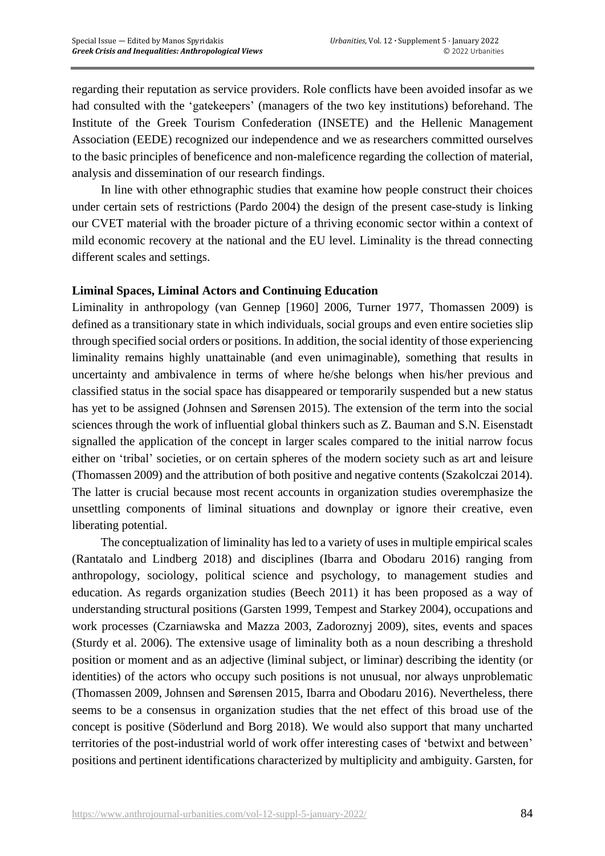regarding their reputation as service providers. Role conflicts have been avoided insofar as we had consulted with the 'gatekeepers' (managers of the two key institutions) beforehand. The Institute of the Greek Tourism Confederation (INSETE) and the Hellenic Management Association (EEDE) recognized our independence and we as researchers committed ourselves to the basic principles of beneficence and non-maleficence regarding the collection of material, analysis and dissemination of our research findings.

In line with other ethnographic studies that examine how people construct their choices under certain sets of restrictions (Pardo 2004) the design of the present case-study is linking our CVET material with the broader picture of a thriving economic sector within a context of mild economic recovery at the national and the EU level. Liminality is the thread connecting different scales and settings.

## **Liminal Spaces, Liminal Actors and Continuing Education**

Liminality in anthropology (van Gennep [1960] 2006, Turner 1977, Thomassen 2009) is defined as a transitionary state in which individuals, social groups and even entire societies slip through specified social orders or positions. In addition, the social identity of those experiencing liminality remains highly unattainable (and even unimaginable), something that results in uncertainty and ambivalence in terms of where he/she belongs when his/her previous and classified status in the social space has disappeared or temporarily suspended but a new status has yet to be assigned (Johnsen and Sørensen 2015). The extension of the term into the social sciences through the work of influential global thinkers such as Z. Bauman and S.N. Eisenstadt signalled the application of the concept in larger scales compared to the initial narrow focus either on 'tribal' societies, or on certain spheres of the modern society such as art and leisure (Thomassen 2009) and the attribution of both positive and negative contents (Szakolczai 2014). The latter is crucial because most recent accounts in organization studies overemphasize the unsettling components of liminal situations and downplay or ignore their creative, even liberating potential.

The conceptualization of liminality has led to a variety of uses in multiple empirical scales (Rantatalo and Lindberg 2018) and disciplines (Ibarra and Obodaru 2016) ranging from anthropology, sociology, political science and psychology, to management studies and education. As regards organization studies (Beech 2011) it has been proposed as a way of understanding structural positions (Garsten 1999, Tempest and Starkey 2004), occupations and work processes (Czarniawska and Mazza 2003, Zadoroznyj 2009), sites, events and spaces (Sturdy et al. 2006). The extensive usage of liminality both as a noun describing a threshold position or moment and as an adjective (liminal subject, or liminar) describing the identity (or identities) of the actors who occupy such positions is not unusual, nor always unproblematic (Thomassen 2009, Johnsen and Sørensen 2015, Ibarra and Obodaru 2016). Nevertheless, there seems to be a consensus in organization studies that the net effect of this broad use of the concept is positive (Söderlund and Borg 2018). We would also support that many uncharted territories of the post-industrial world of work offer interesting cases of 'betwixt and between' positions and pertinent identifications characterized by multiplicity and ambiguity. Garsten, for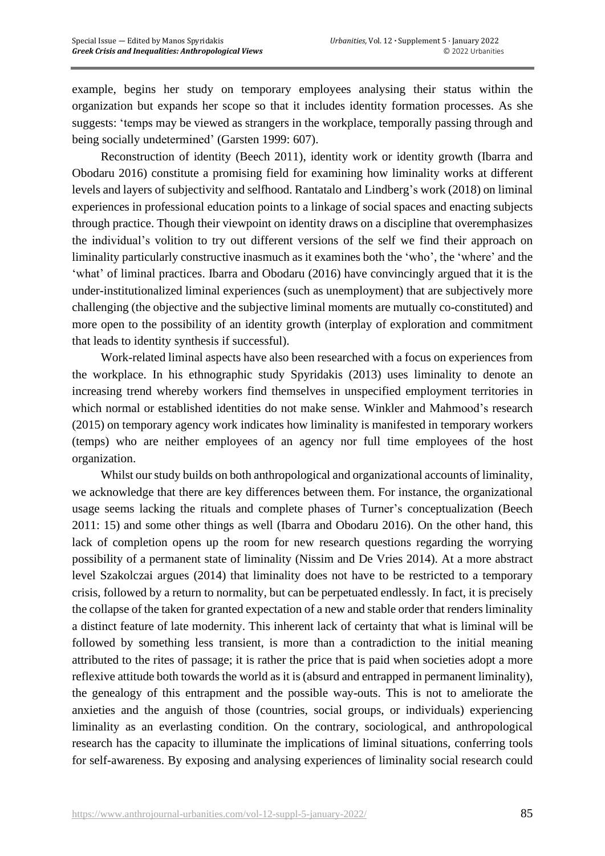example, begins her study on temporary employees analysing their status within the organization but expands her scope so that it includes identity formation processes. As she suggests: 'temps may be viewed as strangers in the workplace, temporally passing through and being socially undetermined' (Garsten 1999: 607).

Reconstruction of identity (Beech 2011), identity work or identity growth (Ibarra and Obodaru 2016) constitute a promising field for examining how liminality works at different levels and layers of subjectivity and selfhood. Rantatalo and Lindberg's work (2018) on liminal experiences in professional education points to a linkage of social spaces and enacting subjects through practice. Though their viewpoint on identity draws on a discipline that overemphasizes the individual's volition to try out different versions of the self we find their approach on liminality particularly constructive inasmuch as it examines both the 'who', the 'where' and the 'what' of liminal practices. Ibarra and Obodaru (2016) have convincingly argued that it is the under-institutionalized liminal experiences (such as unemployment) that are subjectively more challenging (the objective and the subjective liminal moments are mutually co-constituted) and more open to the possibility of an identity growth (interplay of exploration and commitment that leads to identity synthesis if successful).

Work-related liminal aspects have also been researched with a focus on experiences from the workplace. In his ethnographic study Spyridakis (2013) uses liminality to denote an increasing trend whereby workers find themselves in unspecified employment territories in which normal or established identities do not make sense. Winkler and Mahmood's research (2015) on temporary agency work indicates how liminality is manifested in temporary workers (temps) who are neither employees of an agency nor full time employees of the host organization.

Whilst our study builds on both anthropological and organizational accounts of liminality, we acknowledge that there are key differences between them. For instance, the organizational usage seems lacking the rituals and complete phases of Turner's conceptualization (Beech 2011: 15) and some other things as well (Ibarra and Obodaru 2016). On the other hand, this lack of completion opens up the room for new research questions regarding the worrying possibility of a permanent state of liminality (Nissim and De Vries 2014). At a more abstract level Szakolczai argues (2014) that liminality does not have to be restricted to a temporary crisis, followed by a return to normality, but can be perpetuated endlessly. In fact, it is precisely the collapse of the taken for granted expectation of a new and stable order that renders liminality a distinct feature of late modernity. This inherent lack of certainty that what is liminal will be followed by something less transient, is more than a contradiction to the initial meaning attributed to the rites of passage; it is rather the price that is paid when societies adopt a more reflexive attitude both towards the world as it is (absurd and entrapped in permanent liminality), the genealogy of this entrapment and the possible way-outs. This is not to ameliorate the anxieties and the anguish of those (countries, social groups, or individuals) experiencing liminality as an everlasting condition. On the contrary, sociological, and anthropological research has the capacity to illuminate the implications of liminal situations, conferring tools for self-awareness. By exposing and analysing experiences of liminality social research could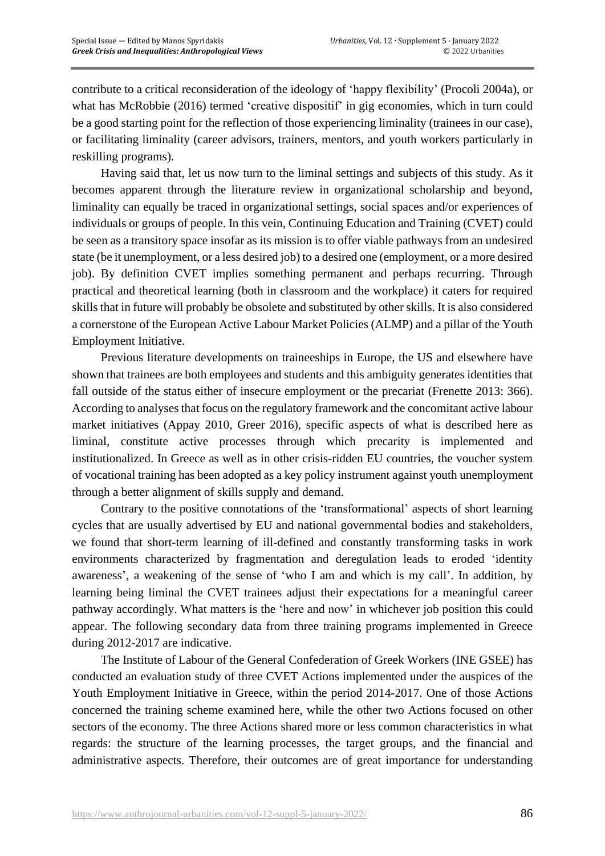contribute to a critical reconsideration of the ideology of 'happy flexibility' (Procoli 2004a), or what has McRobbie (2016) termed 'creative dispositif' in gig economies, which in turn could be a good starting point for the reflection of those experiencing liminality (trainees in our case), or facilitating liminality (career advisors, trainers, mentors, and youth workers particularly in reskilling programs).

Having said that, let us now turn to the liminal settings and subjects of this study. As it becomes apparent through the literature review in organizational scholarship and beyond, liminality can equally be traced in organizational settings, social spaces and/or experiences of individuals or groups of people. In this vein, Continuing Education and Training (CVET) could be seen as a transitory space insofar as its mission is to offer viable pathways from an undesired state (be it unemployment, or a less desired job) to a desired one (employment, or a more desired job). By definition CVET implies something permanent and perhaps recurring. Through practical and theoretical learning (both in classroom and the workplace) it caters for required skills that in future will probably be obsolete and substituted by other skills. It is also considered a cornerstone of the European Active Labour Market Policies (ALMP) and a pillar of the Youth Employment Initiative.

Previous literature developments on traineeships in Europe, the US and elsewhere have shown that trainees are both employees and students and this ambiguity generates identities that fall outside of the status either of insecure employment or the precariat (Frenette 2013: 366). According to analyses that focus on the regulatory framework and the concomitant active labour market initiatives (Appay 2010, Greer 2016), specific aspects of what is described here as liminal, constitute active processes through which precarity is implemented and institutionalized. In Greece as well as in other crisis-ridden EU countries, the voucher system of vocational training has been adopted as a key policy instrument against youth unemployment through a better alignment of skills supply and demand.

Contrary to the positive connotations of the 'transformational' aspects of short learning cycles that are usually advertised by EU and national governmental bodies and stakeholders, we found that short-term learning of ill-defined and constantly transforming tasks in work environments characterized by fragmentation and deregulation leads to eroded 'identity awareness', a weakening of the sense of 'who I am and which is my call'. In addition, by learning being liminal the CVET trainees adjust their expectations for a meaningful career pathway accordingly. What matters is the 'here and now' in whichever job position this could appear. The following secondary data from three training programs implemented in Greece during 2012-2017 are indicative.

The Institute of Labour of the General Confederation of Greek Workers (INE GSEE) has conducted an evaluation study of three CVET Actions implemented under the auspices of the Youth Employment Initiative in Greece, within the period 2014-2017. One of those Actions concerned the training scheme examined here, while the other two Actions focused on other sectors of the economy. The three Actions shared more or less common characteristics in what regards: the structure of the learning processes, the target groups, and the financial and administrative aspects. Therefore, their outcomes are of great importance for understanding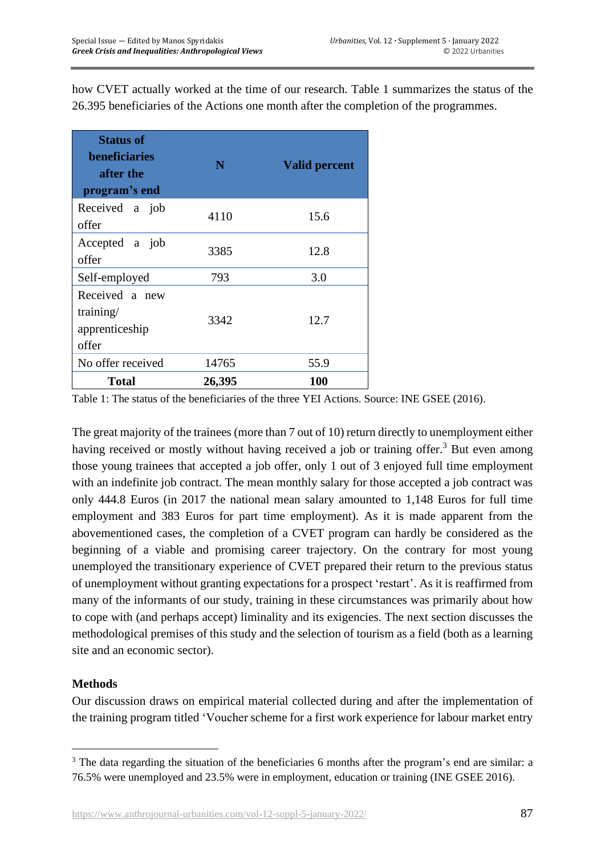how CVET actually worked at the time of our research. Table 1 summarizes the status of the 26.395 beneficiaries of the Actions one month after the completion of the programmes.

| <b>Status of</b><br><b>beneficiaries</b><br>after the<br>program's end | N      | <b>Valid percent</b> |
|------------------------------------------------------------------------|--------|----------------------|
| Received a job<br>offer                                                | 4110   | 15.6                 |
| Accepted a job<br>offer                                                | 3385   | 12.8                 |
| Self-employed                                                          | 793    | 3.0                  |
| Received a new<br>training/<br>apprenticeship<br>offer                 | 3342   | 12.7                 |
| No offer received                                                      | 14765  | 55.9                 |
| <b>Total</b>                                                           | 26,395 | <b>100</b>           |

Table 1: The status of the beneficiaries of the three YEI Actions. Source: INE GSEE (2016).

The great majority of the trainees (more than 7 out of 10) return directly to unemployment either having received or mostly without having received a job or training offer.<sup>3</sup> But even among those young trainees that accepted a job offer, only 1 out of 3 enjoyed full time employment with an indefinite job contract. The mean monthly salary for those accepted a job contract was only 444.8 Euros (in 2017 the national mean salary amounted to 1,148 Euros for full time employment and 383 Euros for part time employment). As it is made apparent from the abovementioned cases, the completion of a CVET program can hardly be considered as the beginning of a viable and promising career trajectory. On the contrary for most young unemployed the transitionary experience of CVET prepared their return to the previous status of unemployment without granting expectations for a prospect 'restart'. As it is reaffirmed from many of the informants of our study, training in these circumstances was primarily about how to cope with (and perhaps accept) liminality and its exigencies. The next section discusses the methodological premises of this study and the selection of tourism as a field (both as a learning site and an economic sector).

# **Methods**

Our discussion draws on empirical material collected during and after the implementation of the training program titled 'Voucher scheme for a first work experience for labour market entry

<sup>&</sup>lt;sup>3</sup> The data regarding the situation of the beneficiaries 6 months after the program's end are similar: a 76.5% were unemployed and 23.5% were in employment, education or training (INE GSEE 2016).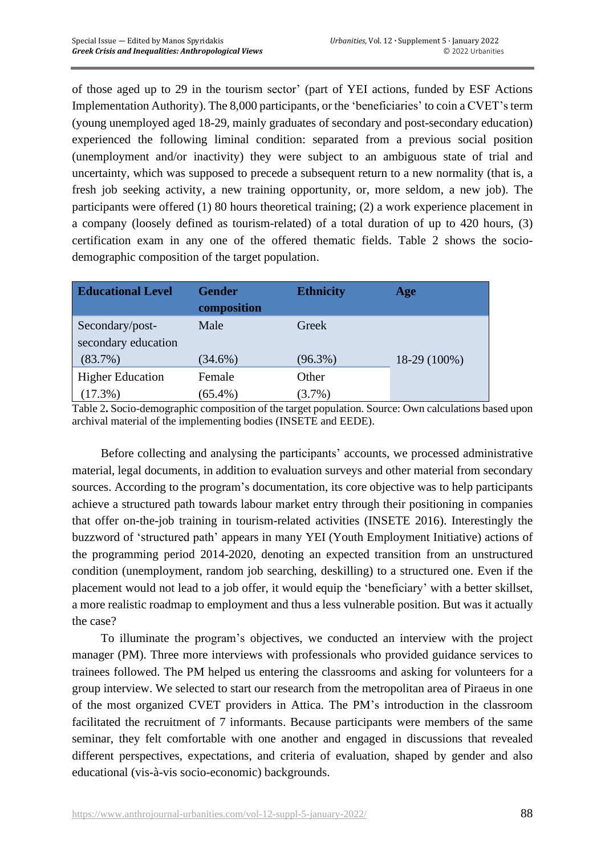of those aged up to 29 in the tourism sector' (part of YEI actions, funded by ESF Actions Implementation Authority). The 8,000 participants, or the 'beneficiaries' to coin a CVET's term (young unemployed aged 18-29, mainly graduates of secondary and post-secondary education) experienced the following liminal condition: separated from a previous social position (unemployment and/or inactivity) they were subject to an ambiguous state of trial and uncertainty, which was supposed to precede a subsequent return to a new normality (that is, a fresh job seeking activity, a new training opportunity, or, more seldom, a new job). The participants were offered (1) 80 hours theoretical training; (2) a work experience placement in a company (loosely defined as tourism-related) of a total duration of up to 420 hours, (3) certification exam in any one of the offered thematic fields. Table 2 shows the sociodemographic composition of the target population.

| <b>Educational Level</b> | <b>Gender</b> | <b>Ethnicity</b> | Age            |
|--------------------------|---------------|------------------|----------------|
|                          | composition   |                  |                |
| Secondary/post-          | Male          | Greek            |                |
| secondary education      |               |                  |                |
| $(83.7\%)$               | $(34.6\%)$    | $(96.3\%)$       | $18-29(100\%)$ |
| <b>Higher Education</b>  | Female        | Other            |                |
| $(17.3\%)$               | $(65.4\%)$    | $(3.7\%)$        |                |

Table 2**.** Socio-demographic composition of the target population. Source: Own calculations based upon archival material of the implementing bodies (INSETE and EEDE).

Before collecting and analysing the participants' accounts, we processed administrative material, legal documents, in addition to evaluation surveys and other material from secondary sources. According to the program's documentation, its core objective was to help participants achieve a structured path towards labour market entry through their positioning in companies that offer on-the-job training in tourism-related activities (INSETE 2016). Interestingly the buzzword of 'structured path' appears in many YEI (Youth Employment Initiative) actions of the programming period 2014-2020, denoting an expected transition from an unstructured condition (unemployment, random job searching, deskilling) to a structured one. Even if the placement would not lead to a job offer, it would equip the 'beneficiary' with a better skillset, a more realistic roadmap to employment and thus a less vulnerable position. But was it actually the case?

To illuminate the program's objectives, we conducted an interview with the project manager (PM). Three more interviews with professionals who provided guidance services to trainees followed. The PM helped us entering the classrooms and asking for volunteers for a group interview. We selected to start our research from the metropolitan area of Piraeus in one of the most organized CVET providers in Attica. The PM's introduction in the classroom facilitated the recruitment of 7 informants. Because participants were members of the same seminar, they felt comfortable with one another and engaged in discussions that revealed different perspectives, expectations, and criteria of evaluation, shaped by gender and also educational (vis-à-vis socio-economic) backgrounds.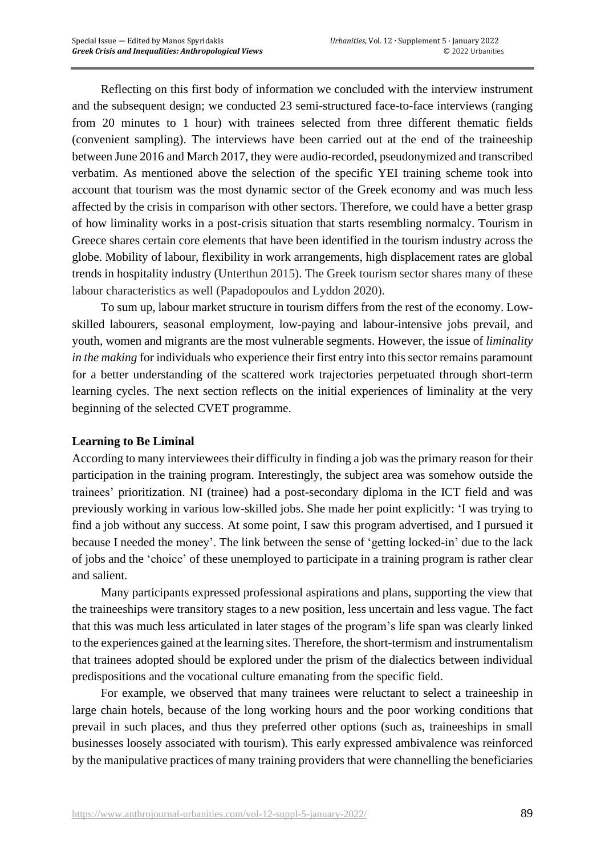Reflecting on this first body of information we concluded with the interview instrument and the subsequent design; we conducted 23 semi-structured face-to-face interviews (ranging from 20 minutes to 1 hour) with trainees selected from three different thematic fields (convenient sampling). The interviews have been carried out at the end of the traineeship between June 2016 and March 2017, they were audio-recorded, pseudonymized and transcribed verbatim. As mentioned above the selection of the specific YEI training scheme took into account that tourism was the most dynamic sector of the Greek economy and was much less affected by the crisis in comparison with other sectors. Therefore, we could have a better grasp of how liminality works in a post-crisis situation that starts resembling normalcy. Tourism in Greece shares certain core elements that have been identified in the tourism industry across the globe. Mobility of labour, flexibility in work arrangements, high displacement rates are global trends in hospitality industry (Unterthun 2015). The Greek tourism sector shares many of these labour characteristics as well (Papadopoulos and Lyddon 2020).

To sum up, labour market structure in tourism differs from the rest of the economy. Lowskilled labourers, seasonal employment, low-paying and labour-intensive jobs prevail, and youth, women and migrants are the most vulnerable segments. However, the issue of *liminality in the making* for individuals who experience their first entry into this sector remains paramount for a better understanding of the scattered work trajectories perpetuated through short-term learning cycles. The next section reflects on the initial experiences of liminality at the very beginning of the selected CVET programme.

#### **Learning to Be Liminal**

According to many interviewees their difficulty in finding a job was the primary reason for their participation in the training program. Interestingly, the subject area was somehow outside the trainees' prioritization. NI (trainee) had a post-secondary diploma in the ICT field and was previously working in various low-skilled jobs. She made her point explicitly: 'I was trying to find a job without any success. At some point, I saw this program advertised, and I pursued it because I needed the money'. The link between the sense of 'getting locked-in' due to the lack of jobs and the 'choice' of these unemployed to participate in a training program is rather clear and salient.

Many participants expressed professional aspirations and plans, supporting the view that the traineeships were transitory stages to a new position, less uncertain and less vague. The fact that this was much less articulated in later stages of the program's life span was clearly linked to the experiences gained at the learning sites. Therefore, the short-termism and instrumentalism that trainees adopted should be explored under the prism of the dialectics between individual predispositions and the vocational culture emanating from the specific field.

For example, we observed that many trainees were reluctant to select a traineeship in large chain hotels, because of the long working hours and the poor working conditions that prevail in such places, and thus they preferred other options (such as, traineeships in small businesses loosely associated with tourism). This early expressed ambivalence was reinforced by the manipulative practices of many training providers that were channelling the beneficiaries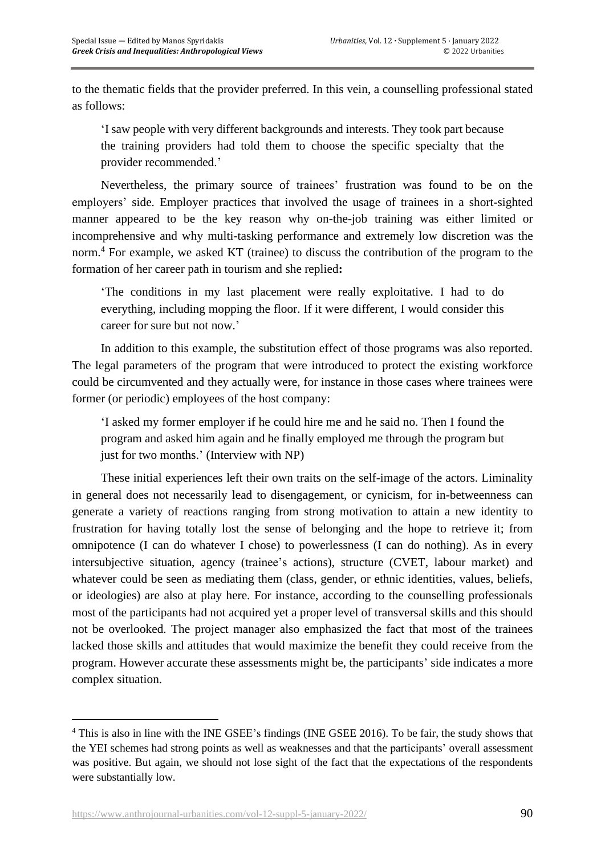to the thematic fields that the provider preferred. In this vein, a counselling professional stated as follows:

'I saw people with very different backgrounds and interests. They took part because the training providers had told them to choose the specific specialty that the provider recommended.'

Nevertheless, the primary source of trainees' frustration was found to be on the employers' side. Employer practices that involved the usage of trainees in a short-sighted manner appeared to be the key reason why on-the-job training was either limited or incomprehensive and why multi-tasking performance and extremely low discretion was the norm. <sup>4</sup> For example, we asked KT (trainee) to discuss the contribution of the program to the formation of her career path in tourism and she replied**:**

'The conditions in my last placement were really exploitative. I had to do everything, including mopping the floor. If it were different, I would consider this career for sure but not now.'

In addition to this example, the substitution effect of those programs was also reported. The legal parameters of the program that were introduced to protect the existing workforce could be circumvented and they actually were, for instance in those cases where trainees were former (or periodic) employees of the host company:

'I asked my former employer if he could hire me and he said no. Then I found the program and asked him again and he finally employed me through the program but just for two months.' (Interview with NP)

These initial experiences left their own traits on the self-image of the actors. Liminality in general does not necessarily lead to disengagement, or cynicism, for in-betweenness can generate a variety of reactions ranging from strong motivation to attain a new identity to frustration for having totally lost the sense of belonging and the hope to retrieve it; from omnipotence (I can do whatever I chose) to powerlessness (I can do nothing). As in every intersubjective situation, agency (trainee's actions), structure (CVET, labour market) and whatever could be seen as mediating them (class, gender, or ethnic identities, values, beliefs, or ideologies) are also at play here. For instance, according to the counselling professionals most of the participants had not acquired yet a proper level of transversal skills and this should not be overlooked. The project manager also emphasized the fact that most of the trainees lacked those skills and attitudes that would maximize the benefit they could receive from the program. However accurate these assessments might be, the participants' side indicates a more complex situation.

<sup>4</sup> This is also in line with the INE GSEE's findings (INE GSEE 2016). To be fair, the study shows that the YEI schemes had strong points as well as weaknesses and that the participants' overall assessment was positive. But again, we should not lose sight of the fact that the expectations of the respondents were substantially low.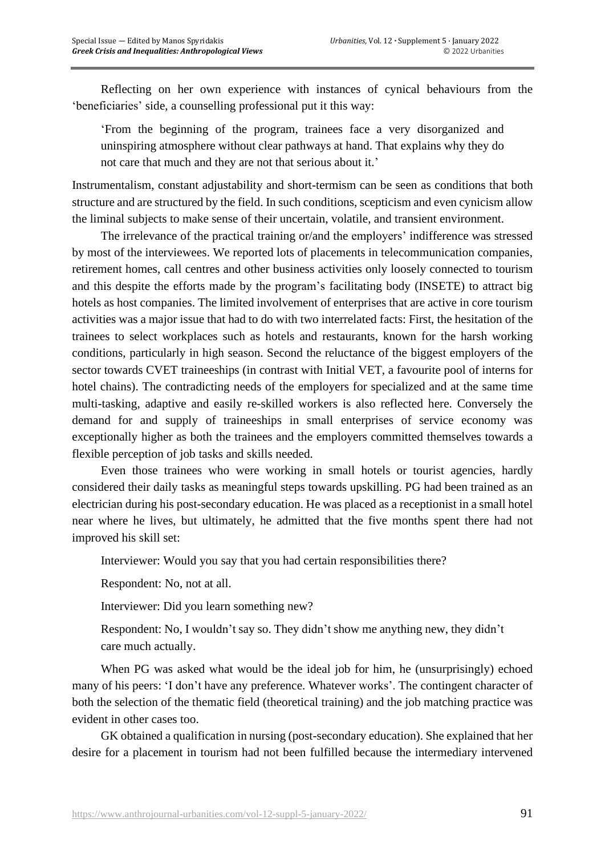Reflecting on her own experience with instances of cynical behaviours from the 'beneficiaries' side, a counselling professional put it this way:

'From the beginning of the program, trainees face a very disorganized and uninspiring atmosphere without clear pathways at hand. That explains why they do not care that much and they are not that serious about it.'

Instrumentalism, constant adjustability and short-termism can be seen as conditions that both structure and are structured by the field. In such conditions, scepticism and even cynicism allow the liminal subjects to make sense of their uncertain, volatile, and transient environment.

The irrelevance of the practical training or/and the employers' indifference was stressed by most of the interviewees. We reported lots of placements in telecommunication companies, retirement homes, call centres and other business activities only loosely connected to tourism and this despite the efforts made by the program's facilitating body (INSETE) to attract big hotels as host companies. The limited involvement of enterprises that are active in core tourism activities was a major issue that had to do with two interrelated facts: First, the hesitation of the trainees to select workplaces such as hotels and restaurants, known for the harsh working conditions, particularly in high season. Second the reluctance of the biggest employers of the sector towards CVET traineeships (in contrast with Initial VET, a favourite pool of interns for hotel chains). The contradicting needs of the employers for specialized and at the same time multi-tasking, adaptive and easily re-skilled workers is also reflected here. Conversely the demand for and supply of traineeships in small enterprises of service economy was exceptionally higher as both the trainees and the employers committed themselves towards a flexible perception of job tasks and skills needed.

Even those trainees who were working in small hotels or tourist agencies, hardly considered their daily tasks as meaningful steps towards upskilling. PG had been trained as an electrician during his post-secondary education. He was placed as a receptionist in a small hotel near where he lives, but ultimately, he admitted that the five months spent there had not improved his skill set:

Interviewer: Would you say that you had certain responsibilities there?

Respondent: No, not at all.

Interviewer: Did you learn something new?

Respondent: No, I wouldn't say so. They didn't show me anything new, they didn't care much actually.

When PG was asked what would be the ideal job for him, he (unsurprisingly) echoed many of his peers: 'I don't have any preference. Whatever works'. The contingent character of both the selection of the thematic field (theoretical training) and the job matching practice was evident in other cases too.

GK obtained a qualification in nursing (post-secondary education). She explained that her desire for a placement in tourism had not been fulfilled because the intermediary intervened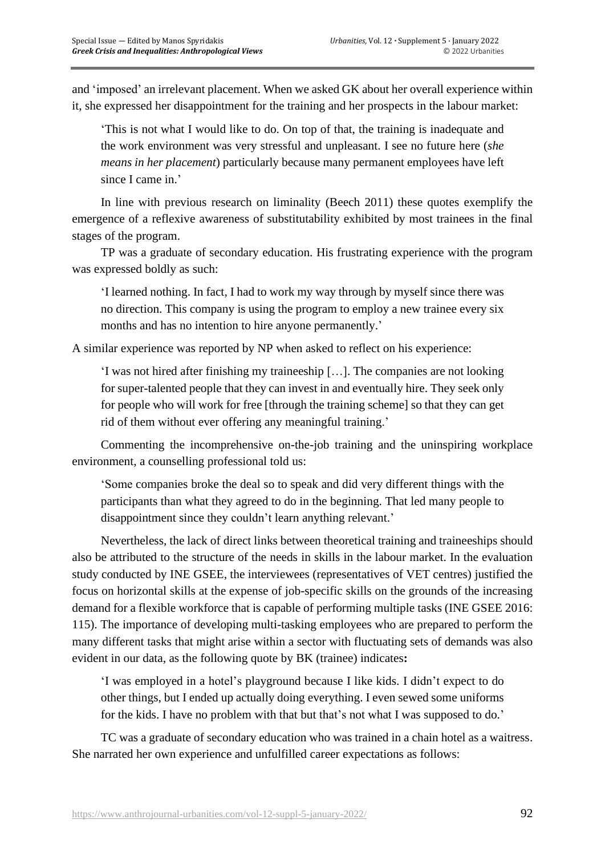and 'imposed' an irrelevant placement. When we asked GK about her overall experience within it, she expressed her disappointment for the training and her prospects in the labour market:

'This is not what I would like to do. On top of that, the training is inadequate and the work environment was very stressful and unpleasant. I see no future here (*she means in her placement*) particularly because many permanent employees have left since I came in.'

In line with previous research on liminality (Beech 2011) these quotes exemplify the emergence of a reflexive awareness of substitutability exhibited by most trainees in the final stages of the program.

TP was a graduate of secondary education. His frustrating experience with the program was expressed boldly as such:

'I learned nothing. In fact, I had to work my way through by myself since there was no direction. This company is using the program to employ a new trainee every six months and has no intention to hire anyone permanently.'

A similar experience was reported by NP when asked to reflect on his experience:

'I was not hired after finishing my traineeship […]. The companies are not looking for super-talented people that they can invest in and eventually hire. They seek only for people who will work for free [through the training scheme] so that they can get rid of them without ever offering any meaningful training.'

Commenting the incomprehensive on-the-job training and the uninspiring workplace environment, a counselling professional told us:

'Some companies broke the deal so to speak and did very different things with the participants than what they agreed to do in the beginning. That led many people to disappointment since they couldn't learn anything relevant.'

Nevertheless, the lack of direct links between theoretical training and traineeships should also be attributed to the structure of the needs in skills in the labour market. In the evaluation study conducted by INE GSEE, the interviewees (representatives of VET centres) justified the focus on horizontal skills at the expense of job-specific skills on the grounds of the increasing demand for a flexible workforce that is capable of performing multiple tasks (INE GSEE 2016: 115). The importance of developing multi-tasking employees who are prepared to perform the many different tasks that might arise within a sector with fluctuating sets of demands was also evident in our data, as the following quote by BK (trainee) indicates**:**

'I was employed in a hotel's playground because I like kids. I didn't expect to do other things, but I ended up actually doing everything. I even sewed some uniforms for the kids. I have no problem with that but that's not what I was supposed to do.'

TC was a graduate of secondary education who was trained in a chain hotel as a waitress. She narrated her own experience and unfulfilled career expectations as follows: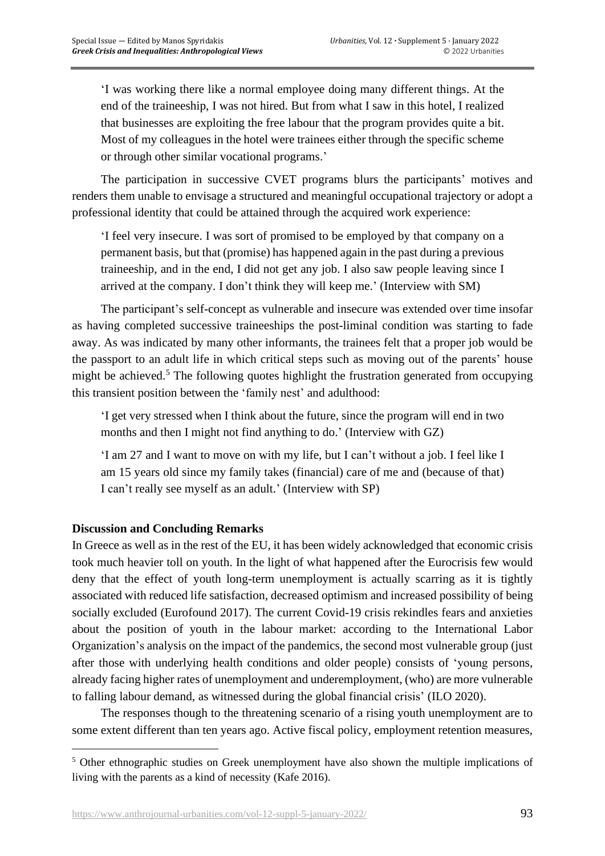'I was working there like a normal employee doing many different things. At the end of the traineeship, I was not hired. But from what I saw in this hotel, I realized that businesses are exploiting the free labour that the program provides quite a bit. Most of my colleagues in the hotel were trainees either through the specific scheme or through other similar vocational programs.'

The participation in successive CVET programs blurs the participants' motives and renders them unable to envisage a structured and meaningful occupational trajectory or adopt a professional identity that could be attained through the acquired work experience:

'I feel very insecure. I was sort of promised to be employed by that company on a permanent basis, but that (promise) has happened again in the past during a previous traineeship, and in the end, I did not get any job. I also saw people leaving since I arrived at the company. I don't think they will keep me.' (Interview with SM)

The participant's self-concept as vulnerable and insecure was extended over time insofar as having completed successive traineeships the post-liminal condition was starting to fade away. As was indicated by many other informants, the trainees felt that a proper job would be the passport to an adult life in which critical steps such as moving out of the parents' house might be achieved. $5$  The following quotes highlight the frustration generated from occupying this transient position between the 'family nest' and adulthood:

'I get very stressed when I think about the future, since the program will end in two months and then I might not find anything to do.' (Interview with GZ)

'I am 27 and I want to move on with my life, but I can't without a job. I feel like I am 15 years old since my family takes (financial) care of me and (because of that) I can't really see myself as an adult.' (Interview with SP)

# **Discussion and Concluding Remarks**

In Greece as well as in the rest of the EU, it has been widely acknowledged that economic crisis took much heavier toll on youth. In the light of what happened after the Eurocrisis few would deny that the effect of youth long-term unemployment is actually scarring as it is tightly associated with reduced life satisfaction, decreased optimism and increased possibility of being socially excluded (Eurofound 2017). The current Covid-19 crisis rekindles fears and anxieties about the position of youth in the labour market: according to the International Labor Organization's analysis on the impact of the pandemics, the second most vulnerable group (just after those with underlying health conditions and older people) consists of 'young persons, already facing higher rates of unemployment and underemployment, (who) are more vulnerable to falling labour demand, as witnessed during the global financial crisis' (ILO 2020).

The responses though to the threatening scenario of a rising youth unemployment are to some extent different than ten years ago. Active fiscal policy, employment retention measures,

<sup>&</sup>lt;sup>5</sup> Other ethnographic studies on Greek unemployment have also shown the multiple implications of living with the parents as a kind of necessity (Kafe 2016).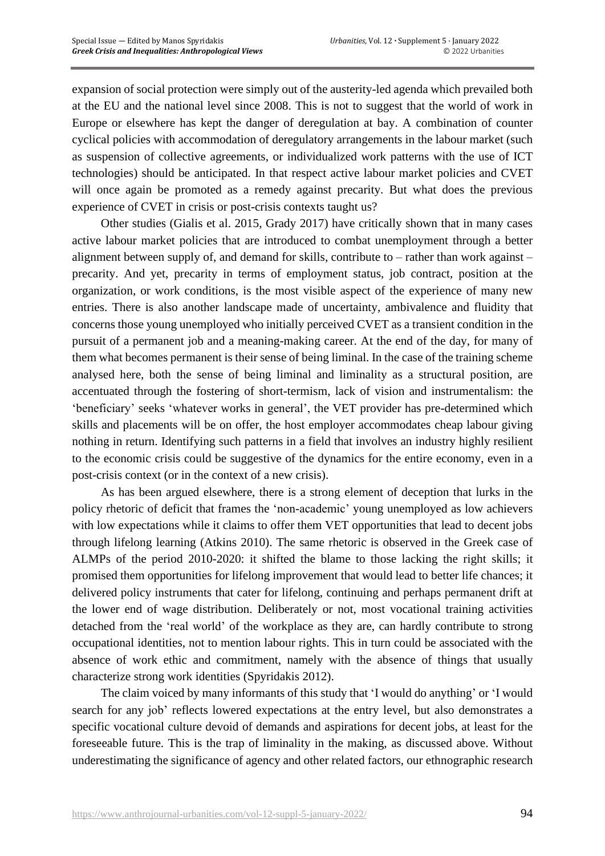expansion of social protection were simply out of the austerity-led agenda which prevailed both at the EU and the national level since 2008. This is not to suggest that the world of work in Europe or elsewhere has kept the danger of deregulation at bay. A combination of counter cyclical policies with accommodation of deregulatory arrangements in the labour market (such as suspension of collective agreements, or individualized work patterns with the use of ICT technologies) should be anticipated. In that respect active labour market policies and CVET will once again be promoted as a remedy against precarity. But what does the previous experience of CVET in crisis or post-crisis contexts taught us?

Other studies (Gialis et al. 2015, Grady 2017) have critically shown that in many cases active labour market policies that are introduced to combat unemployment through a better alignment between supply of, and demand for skills, contribute to – rather than work against – precarity. And yet, precarity in terms of employment status, job contract, position at the organization, or work conditions, is the most visible aspect of the experience of many new entries. There is also another landscape made of uncertainty, ambivalence and fluidity that concerns those young unemployed who initially perceived CVET as a transient condition in the pursuit of a permanent job and a meaning-making career. At the end of the day, for many of them what becomes permanent is their sense of being liminal. In the case of the training scheme analysed here, both the sense of being liminal and liminality as a structural position, are accentuated through the fostering of short-termism, lack of vision and instrumentalism: the 'beneficiary' seeks 'whatever works in general', the VET provider has pre-determined which skills and placements will be on offer, the host employer accommodates cheap labour giving nothing in return. Identifying such patterns in a field that involves an industry highly resilient to the economic crisis could be suggestive of the dynamics for the entire economy, even in a post-crisis context (or in the context of a new crisis).

As has been argued elsewhere, there is a strong element of deception that lurks in the policy rhetoric of deficit that frames the 'non-academic' young unemployed as low achievers with low expectations while it claims to offer them VET opportunities that lead to decent jobs through lifelong learning (Atkins 2010). The same rhetoric is observed in the Greek case of ALMPs of the period 2010-2020: it shifted the blame to those lacking the right skills; it promised them opportunities for lifelong improvement that would lead to better life chances; it delivered policy instruments that cater for lifelong, continuing and perhaps permanent drift at the lower end of wage distribution. Deliberately or not, most vocational training activities detached from the 'real world' of the workplace as they are, can hardly contribute to strong occupational identities, not to mention labour rights. This in turn could be associated with the absence of work ethic and commitment, namely with the absence of things that usually characterize strong work identities (Spyridakis 2012).

The claim voiced by many informants of this study that 'I would do anything' or 'I would search for any job' reflects lowered expectations at the entry level, but also demonstrates a specific vocational culture devoid of demands and aspirations for decent jobs, at least for the foreseeable future. This is the trap of liminality in the making, as discussed above. Without underestimating the significance of agency and other related factors, our ethnographic research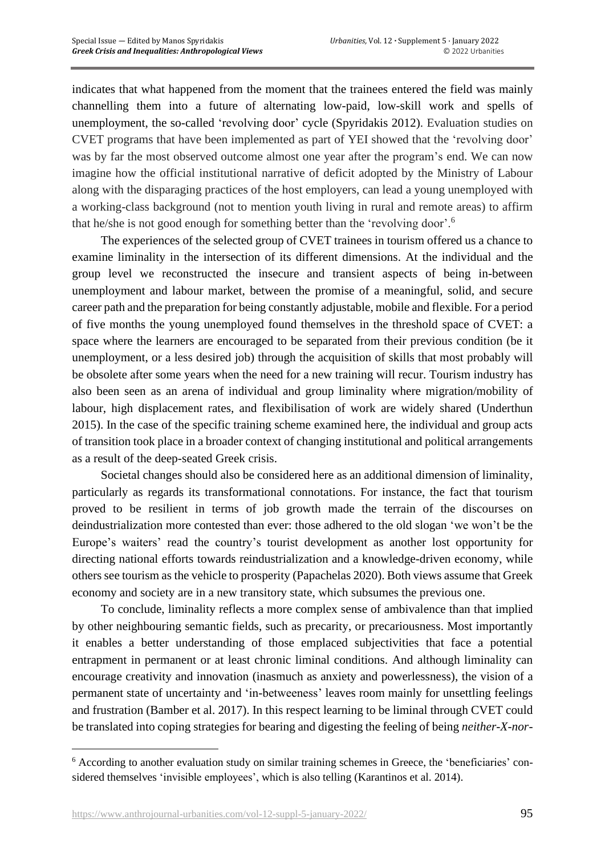indicates that what happened from the moment that the trainees entered the field was mainly channelling them into a future of alternating low-paid, low-skill work and spells of unemployment, the so-called 'revolving door' cycle (Spyridakis 2012). Evaluation studies on CVET programs that have been implemented as part of YEI showed that the 'revolving door' was by far the most observed outcome almost one year after the program's end. We can now imagine how the official institutional narrative of deficit adopted by the Ministry of Labour along with the disparaging practices of the host employers, can lead a young unemployed with a working-class background (not to mention youth living in rural and remote areas) to affirm that he/she is not good enough for something better than the 'revolving door'.<sup>6</sup>

The experiences of the selected group of CVET trainees in tourism offered us a chance to examine liminality in the intersection of its different dimensions. At the individual and the group level we reconstructed the insecure and transient aspects of being in-between unemployment and labour market, between the promise of a meaningful, solid, and secure career path and the preparation for being constantly adjustable, mobile and flexible. For a period of five months the young unemployed found themselves in the threshold space of CVET: a space where the learners are encouraged to be separated from their previous condition (be it unemployment, or a less desired job) through the acquisition of skills that most probably will be obsolete after some years when the need for a new training will recur. Tourism industry has also been seen as an arena of individual and group liminality where migration/mobility of labour, high displacement rates, and flexibilisation of work are widely shared (Underthun 2015). In the case of the specific training scheme examined here, the individual and group acts of transition took place in a broader context of changing institutional and political arrangements as a result of the deep-seated Greek crisis.

Societal changes should also be considered here as an additional dimension of liminality, particularly as regards its transformational connotations. For instance, the fact that tourism proved to be resilient in terms of job growth made the terrain of the discourses on deindustrialization more contested than ever: those adhered to the old slogan 'we won't be the Europe's waiters' read the country's tourist development as another lost opportunity for directing national efforts towards reindustrialization and a knowledge-driven economy, while others see tourism as the vehicle to prosperity (Papachelas 2020). Both views assume that Greek economy and society are in a new transitory state, which subsumes the previous one.

To conclude, liminality reflects a more complex sense of ambivalence than that implied by other neighbouring semantic fields, such as precarity, or precariousness. Most importantly it enables a better understanding of those emplaced subjectivities that face a potential entrapment in permanent or at least chronic liminal conditions. And although liminality can encourage creativity and innovation (inasmuch as anxiety and powerlessness), the vision of a permanent state of uncertainty and 'in-betweeness' leaves room mainly for unsettling feelings and frustration (Bamber et al. 2017). In this respect learning to be liminal through CVET could be translated into coping strategies for bearing and digesting the feeling of being *neither-X-nor-*

<sup>6</sup> According to another evaluation study on similar training schemes in Greece, the 'beneficiaries' considered themselves 'invisible employees', which is also telling (Karantinos et al. 2014).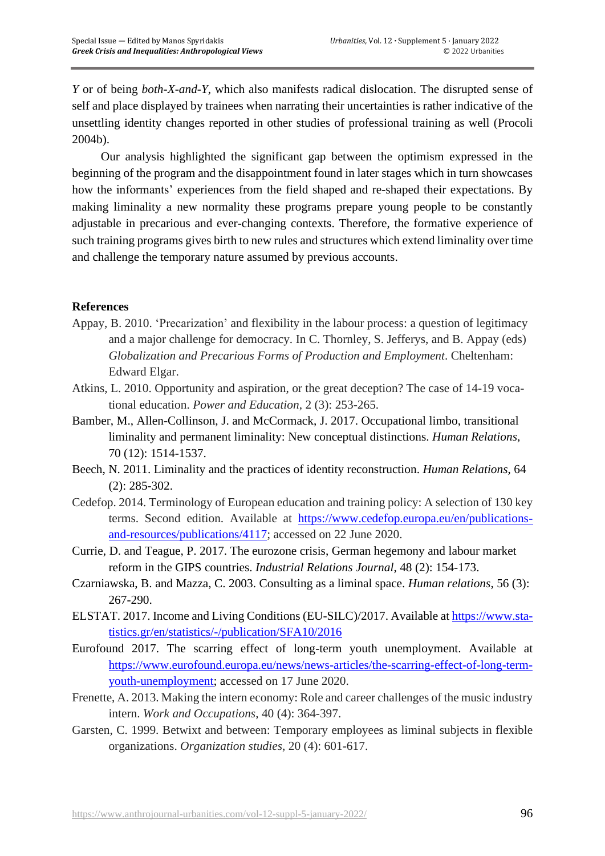*Y* or of being *both-X-and-Y*, which also manifests radical dislocation. The disrupted sense of self and place displayed by trainees when narrating their uncertainties is rather indicative of the unsettling identity changes reported in other studies of professional training as well (Procoli 2004b).

Our analysis highlighted the significant gap between the optimism expressed in the beginning of the program and the disappointment found in later stages which in turn showcases how the informants' experiences from the field shaped and re-shaped their expectations. By making liminality a new normality these programs prepare young people to be constantly adjustable in precarious and ever-changing contexts. Therefore, the formative experience of such training programs gives birth to new rules and structures which extend liminality over time and challenge the temporary nature assumed by previous accounts.

## **References**

- Appay, B. 2010. 'Precarization' and flexibility in the labour process: a question of legitimacy and a major challenge for democracy. In C. Thornley, S. Jefferys, and B. Appay (eds) *Globalization and Precarious Forms of Production and Employment*. Cheltenham: Edward Elgar.
- Atkins, L. 2010. Opportunity and aspiration, or the great deception? The case of 14-19 vocational education. *Power and Education*, 2 (3): 253-265.
- Bamber, M., Allen-Collinson, J. and McCormack, J. 2017. Occupational limbo, transitional liminality and permanent liminality: New conceptual distinctions. *Human Relations*, 70 (12): 1514-1537.
- Beech, N. 2011. Liminality and the practices of identity reconstruction. *Human Relations*, 64 (2): 285-302.
- Cedefop. 2014. Terminology of European education and training policy: A selection of 130 key terms. Second edition. Available at [https://www.cedefop.europa.eu/en/publications](https://www.cedefop.europa.eu/en/publications-and-resources/publications/4117)[and-resources/publications/4117;](https://www.cedefop.europa.eu/en/publications-and-resources/publications/4117) accessed on 22 June 2020.
- Currie, D. and Teague, P. 2017. The eurozone crisis, German hegemony and labour market reform in the GIPS countries. *Industrial Relations Journal*, 48 (2): 154-173.
- Czarniawska, B. and Mazza, C. 2003. Consulting as a liminal space. *Human relations*, 56 (3): 267-290.
- ELSTAT. 2017. Income and Living Conditions (EU-SILC)/2017. Available at [https://www.sta](https://www.statistics.gr/en/statistics/-/publication/SFA10/2016)[tistics.gr/en/statistics/-/publication/SFA10/2016](https://www.statistics.gr/en/statistics/-/publication/SFA10/2016)
- Eurofound 2017. The scarring effect of long-term youth unemployment. Available at [https://www.eurofound.europa.eu/news/news-articles/the-scarring-effect-of-long-term](https://www.eurofound.europa.eu/news/news-articles/the-scarring-effect-of-long-term-youth-unemployment)[youth-unemployment;](https://www.eurofound.europa.eu/news/news-articles/the-scarring-effect-of-long-term-youth-unemployment) accessed on 17 June 2020.
- Frenette, A. 2013. Making the intern economy: Role and career challenges of the music industry intern. *Work and Occupations*, 40 (4): 364-397.
- Garsten, C. 1999. Betwixt and between: Temporary employees as liminal subjects in flexible organizations. *Organization studies*, 20 (4): 601-617.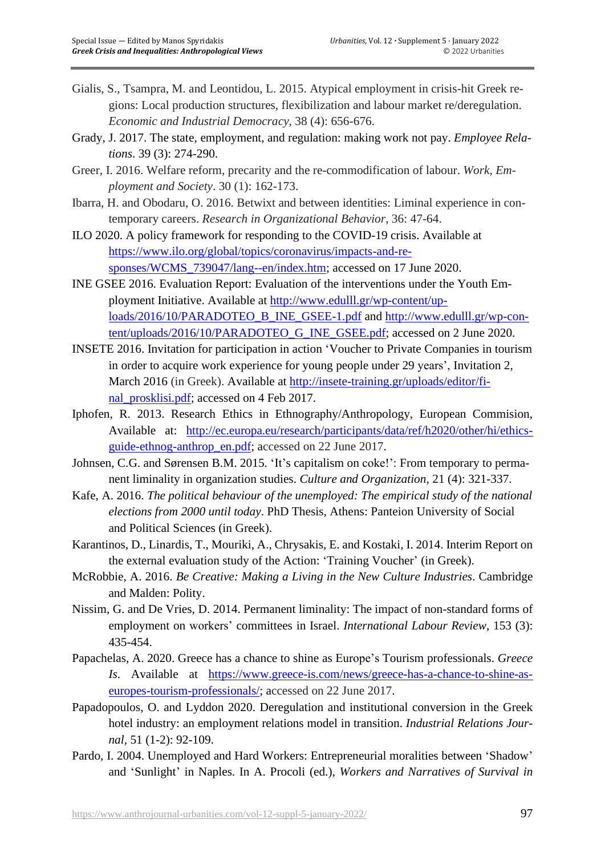- Gialis, S., Tsampra, M. and Leontidou, L. 2015. Atypical employment in crisis-hit Greek regions: Local production structures, flexibilization and labour market re/deregulation. *Economic and Industrial Democracy*, 38 (4): 656-676.
- Grady, J. 2017. The state, employment, and regulation: making work not pay. *Employee Relations*. 39 (3): 274-290.
- Greer, I. 2016. Welfare reform, precarity and the re-commodification of labour. *Work, Employment and Society*. 30 (1): 162-173.
- Ibarra, H. and Obodaru, O. 2016. Betwixt and between identities: Liminal experience in contemporary careers. *Research in Organizational Behavior*, 36: 47-64.
- ILO 2020. A policy framework for responding to the COVID-19 crisis. Available at [https://www.ilo.org/global/topics/coronavirus/impacts-and-re](https://www.ilo.org/global/topics/coronavirus/impacts-and-responses/WCMS_739047/lang--en/index.htm)[sponses/WCMS\\_739047/lang--en/index.htm;](https://www.ilo.org/global/topics/coronavirus/impacts-and-responses/WCMS_739047/lang--en/index.htm) accessed on 17 June 2020.
- INE GSEE 2016. Evaluation Report: Evaluation of the interventions under the Youth Employment Initiative. Available at [http://www.edulll.gr/wp-content/up](http://www.edulll.gr/wp-content/uploads/2016/10/PARADOTEO_B_INE_GSEE-1.pdf)[loads/2016/10/PARADOTEO\\_B\\_INE\\_GSEE-1.pdf](http://www.edulll.gr/wp-content/uploads/2016/10/PARADOTEO_B_INE_GSEE-1.pdf) and [http://www.edulll.gr/wp-con](http://www.edulll.gr/wp-content/uploads/2016/10/PARADOTEO_G_INE_GSEE.pdf)[tent/uploads/2016/10/PARADOTEO\\_G\\_INE\\_GSEE.pdf;](http://www.edulll.gr/wp-content/uploads/2016/10/PARADOTEO_G_INE_GSEE.pdf) accessed on 2 June 2020.
- INSETE 2016. Invitation for participation in action 'Voucher to Private Companies in tourism in order to acquire work experience for young people under 29 years', Invitation 2, March 2016 (in Greek). Available at [http://insete-training.gr/uploads/editor/fi](http://insete-training.gr/uploads/editor/final_prosklisi.pdf)[nal\\_prosklisi.pdf;](http://insete-training.gr/uploads/editor/final_prosklisi.pdf) accessed on 4 Feb 2017.
- Iphofen, R. 2013. Research Ethics in Ethnography/Anthropology, European Commision, Available at: [http://ec.europa.eu/research/participants/data/ref/h2020/other/hi/ethics](http://ec.europa.eu/research/participants/data/ref/h2020/other/hi/ethics-guide-ethnog-anthrop_en.pdf)[guide-ethnog-anthrop\\_en.pdf;](http://ec.europa.eu/research/participants/data/ref/h2020/other/hi/ethics-guide-ethnog-anthrop_en.pdf) accessed on 22 June 2017.
- Johnsen, C.G. and Sørensen B.M. 2015. 'It's capitalism on coke!': From temporary to permanent liminality in organization studies. *Culture and Organization*, 21 (4): 321-337.
- Kafe, A. 2016. *The political behaviour of the unemployed: The empirical study of the national elections from 2000 until today*. PhD Thesis, Athens: Panteion University of Social and Political Sciences (in Greek).
- Karantinos, D., Linardis, T., Mouriki, A., Chrysakis, E. and Kostaki, I. 2014. Interim Report on the external evaluation study of the Action: 'Training Voucher' (in Greek).
- McRobbie, A. 2016. *Be Creative: Making a Living in the New Culture Industries*. Cambridge and Malden: Polity.
- Nissim, G. and De Vries, D. 2014. Permanent liminality: The impact of non-standard forms of employment on workers' committees in Israel. *International Labour Review*, 153 (3): 435-454.
- Papachelas, A. 2020. Greece has a chance to shine as Europe's Tourism professionals. *Greece Is*. Available at [https://www.greece-is.com/news/greece-has-a-chance-to-shine-as](https://www.greece-is.com/news/greece-has-a-chance-to-shine-as-europes-tourism-professionals/)[europes-tourism-professionals/;](https://www.greece-is.com/news/greece-has-a-chance-to-shine-as-europes-tourism-professionals/) accessed on 22 June 2017.
- Papadopoulos, O. and Lyddon 2020. Deregulation and institutional conversion in the Greek hotel industry: an employment relations model in transition. *Industrial Relations Journal,* 51 (1-2): 92-109.
- Pardo, I. 2004. Unemployed and Hard Workers: Entrepreneurial moralities between 'Shadow' and 'Sunlight' in Naples. In A. Procoli (ed.), *Workers and Narratives of Survival in*